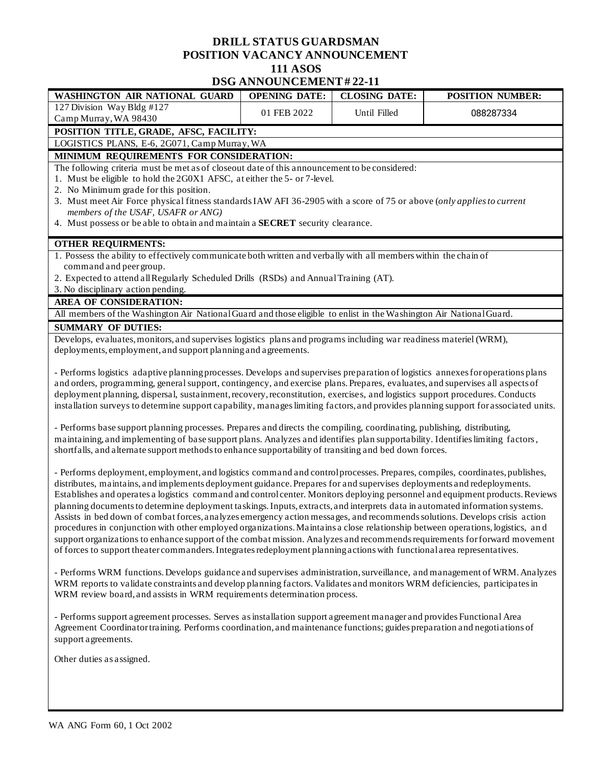## **DRILL STATUS GUARDSMAN POSITION VACANCY ANNOUNCEMENT 111 ASOS DSG ANNOUNCEMENT # 22-11**

|                                                                                                                                     | DSG ANNOUNCEMEN I # 44-11 |                      |                         |
|-------------------------------------------------------------------------------------------------------------------------------------|---------------------------|----------------------|-------------------------|
| WASHINGTON AIR NATIONAL GUARD                                                                                                       | <b>OPENING DATE:</b>      | <b>CLOSING DATE:</b> | <b>POSITION NUMBER:</b> |
| 127 Division Way Bldg #127                                                                                                          | 01 FEB 2022               | Until Filled         | 088287334               |
| Camp Murray, WA 98430                                                                                                               |                           |                      |                         |
| POSITION TITLE, GRADE, AFSC, FACILITY:                                                                                              |                           |                      |                         |
| LOGISTICS PLANS, E-6, 2G071, Camp Murray, WA                                                                                        |                           |                      |                         |
| MINIMUM REQUIREMENTS FOR CONSIDERATION:                                                                                             |                           |                      |                         |
| The following criteria must be met as of closeout date of this announcement to be considered:                                       |                           |                      |                         |
| 1. Must be eligible to hold the 2G0X1 AFSC, at either the 5- or 7-level.                                                            |                           |                      |                         |
| 2. No Minimum grade for this position.                                                                                              |                           |                      |                         |
| 3. Must meet Air Force physical fitness standards IAW AFI 36-2905 with a score of 75 or above (only applies to current              |                           |                      |                         |
| members of the USAF, USAFR or ANG)                                                                                                  |                           |                      |                         |
| 4. Must possess or be able to obtain and maintain a SECRET security clearance.                                                      |                           |                      |                         |
| <b>OTHER REQUIRMENTS:</b>                                                                                                           |                           |                      |                         |
| 1. Possess the ability to effectively communicate both written and verbally with all members within the chain of                    |                           |                      |                         |
| command and peer group.                                                                                                             |                           |                      |                         |
| 2. Expected to attend all Regularly Scheduled Drills (RSDs) and Annual Training (AT).                                               |                           |                      |                         |
| 3. No disciplinary action pending.                                                                                                  |                           |                      |                         |
| <b>AREA OF CONSIDERATION:</b>                                                                                                       |                           |                      |                         |
| All members of the Washington Air National Guard and those eligible to enlist in the Washington Air National Guard.                 |                           |                      |                         |
| <b>SUMMARY OF DUTIES:</b>                                                                                                           |                           |                      |                         |
| Develops, evaluates, monitors, and supervises logistics plans and programs including war readiness materiel (WRM),                  |                           |                      |                         |
| deployments, employment, and support planning and agreements.                                                                       |                           |                      |                         |
|                                                                                                                                     |                           |                      |                         |
| - Performs logistics adaptive planning processes. Develops and supervises preparation of logistics annexes for operations plans     |                           |                      |                         |
| and orders, programming, general support, contingency, and exercise plans. Prepares, evaluates, and supervises all aspects of       |                           |                      |                         |
| deployment planning, dispersal, sustainment, recovery, reconstitution, exercises, and logistics support procedures. Conducts        |                           |                      |                         |
| installation surveys to determine support capability, manages limiting factors, and provides planning support for associated units. |                           |                      |                         |
| - Performs base support planning processes. Prepares and directs the compiling, coordinating, publishing, distributing,             |                           |                      |                         |
| maintaining, and implementing of base support plans. Analyzes and identifies plan supportability. Identifies limiting factors,      |                           |                      |                         |
| shortfalls, and alternate support methods to enhance supportability of transiting and bed down forces.                              |                           |                      |                         |
|                                                                                                                                     |                           |                      |                         |
| - Performs deployment, employment, and logistics command and control processes. Prepares, compiles, coordinates, publishes,         |                           |                      |                         |
| distributes, maintains, and implements deployment guidance. Prepares for and supervises deployments and redeployments.              |                           |                      |                         |
| Establishes and operates a logistics command and control center. Monitors deploying personnel and equipment products. Reviews       |                           |                      |                         |
| planning documents to determine deployment taskings. Inputs, extracts, and interprets data in automated information systems.        |                           |                      |                         |
| Assists in bed down of combat forces, analyzes emergency action messages, and recommends solutions. Develops crisis action          |                           |                      |                         |
| procedures in conjunction with other employed organizations. Maintains a close relationship between operations, logistics, and      |                           |                      |                         |
| support organizations to enhance support of the combat mission. Analyzes and recommends requirements for forward movement           |                           |                      |                         |

- Performs WRM functions. Develops guidance and supervises administration, surveillance, and management of WRM. Analyzes WRM reports to validate constraints and develop planning factors. Validates and monitors WRM deficiencies, participates in WRM review board, and assists in WRM requirements determination process.

- Performs support agreement processes. Serves as installation support agreement manager and provides Functional Area Agreement Coordinator training. Performs coordination, and maintenance functions; guides preparation and negotiations of support agreements.

of forces to support theater commanders. Integrates redeployment planning actions with functional area representatives.

Other duties as assigned.